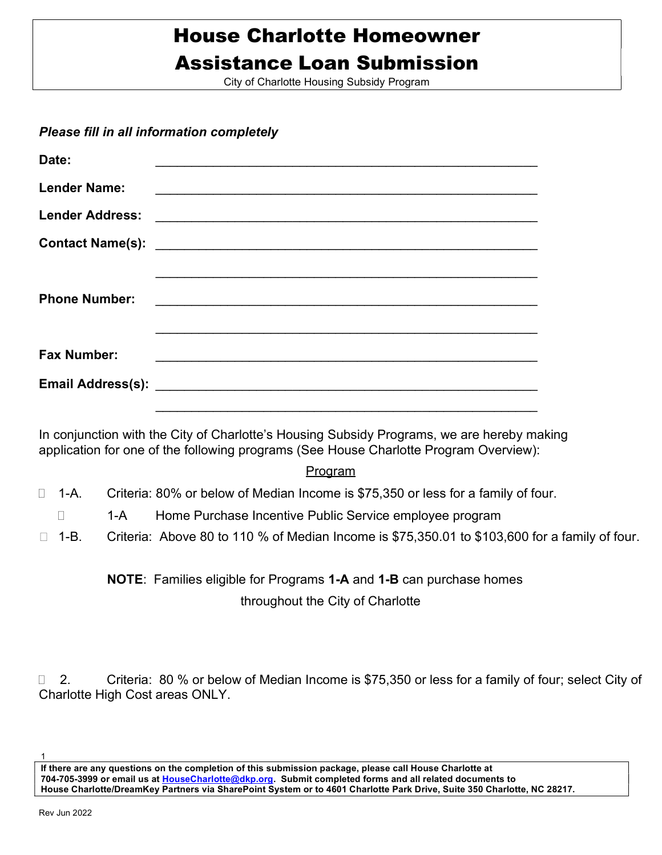# House Charlotte Homeowner Assistance Loan Submission

City of Charlotte Housing Subsidy Program

## Please fill in all information completely

| Date:                  |                                                                                                                      |
|------------------------|----------------------------------------------------------------------------------------------------------------------|
| <b>Lender Name:</b>    |                                                                                                                      |
| <b>Lender Address:</b> |                                                                                                                      |
|                        |                                                                                                                      |
| <b>Phone Number:</b>   |                                                                                                                      |
| <b>Fax Number:</b>     | <u> 1990 - 1990 - 1990 - 1990 - 1990 - 1990 - 1990 - 1990 - 1990 - 1990 - 1990 - 1990 - 1990 - 1990 - 1990 - 199</u> |
|                        |                                                                                                                      |

application for one of the following programs (See House Charlotte Program Overview): In conjunction with the City of Charlotte's Housing Subsidy Programs, we are hereby making

### Program

- □ 1-A. Criteria: 80% or below of Median Income is \$75,350 or less for a family of four.
- □ 1-A Home Purchase Incentive Public Service employee program
- $\Box$  1-B. Criteria: Above 80 to 110 % of Median Income is \$75,350.01 to \$103,600 for a family of four.

## throughout the City of Charlotte NOTE: Families eligible for Programs 1-A and 1-B can purchase homes

Charlotte High Cost areas ONLY. □ 2. Criteria: 80 % or below of Median Income is \$75,350 or less for a family of four; select City of

If there are any questions on the completion of this submission package, please call House Charlotte at 704-705-3999 or email us at HouseCharlotte@dkp.org. Submit completed forms and all related documents to House Charlotte/DreamKey Partners via SharePoint System or to 4601 Charlotte Park Drive, Suite 350 Charlotte, NC 28217.

1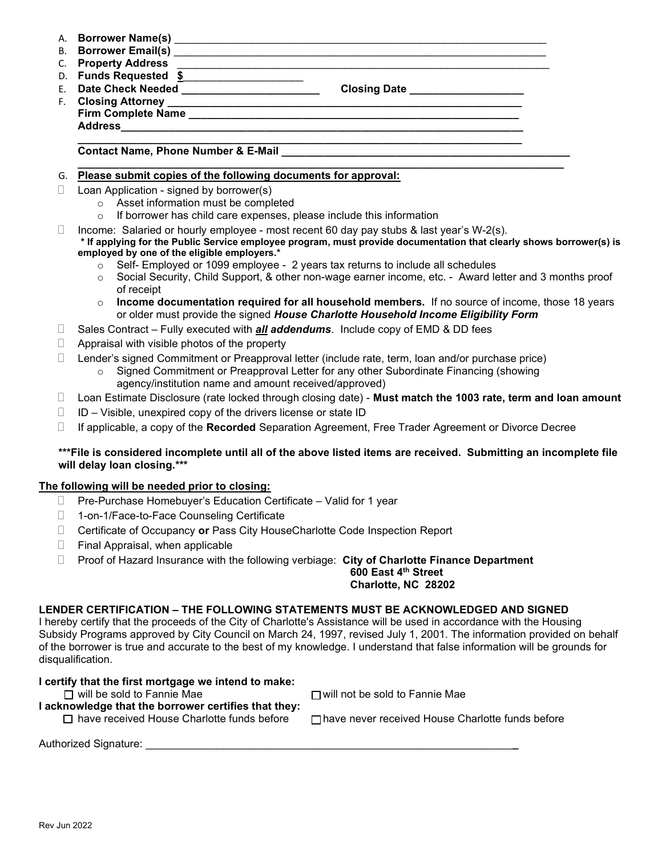- A. Borrower Name(s) \_\_\_\_\_\_\_\_\_\_\_\_\_\_\_\_\_\_\_\_\_\_\_\_\_\_\_\_\_\_\_\_\_\_\_\_\_\_\_\_\_\_\_\_\_\_\_\_\_\_\_\_\_\_\_\_\_\_\_\_\_\_
- B. Borrower Email(s) \_\_\_\_\_\_\_\_\_\_\_\_\_\_\_\_\_\_\_\_\_\_\_\_\_\_\_\_\_\_\_\_\_\_\_\_\_\_\_\_\_\_\_\_\_\_\_\_\_\_\_\_\_\_\_\_\_\_\_\_\_\_
- C. Property Address
- D. Funds Requested \$
- E. Date Check Needed \_\_\_\_\_\_\_\_\_\_\_\_\_\_\_\_\_\_\_\_\_\_\_\_\_\_\_\_\_\_\_Closing Date \_\_\_\_\_\_\_\_\_\_\_\_\_\_\_ F. Closing Attorney \_\_\_\_\_\_\_\_\_\_\_\_\_\_\_\_\_\_\_\_\_\_\_\_\_\_\_\_\_\_\_\_\_\_\_\_\_\_\_\_\_\_\_\_\_\_\_\_\_\_\_\_\_\_\_\_\_\_\_ Firm Complete Name **Example 18** Address

#### \_\_\_\_\_\_\_\_\_\_\_\_\_\_\_\_\_\_\_\_\_\_\_\_\_\_\_\_\_\_\_\_\_\_\_\_\_\_\_\_\_\_\_\_\_\_\_\_\_\_\_\_\_\_\_\_\_\_\_\_\_\_\_\_\_\_\_\_\_\_\_\_\_\_ Contact Name, Phone Number & E-Mail

#### \_\_\_\_\_\_\_\_\_\_\_\_\_\_\_\_\_\_\_\_\_\_\_\_\_\_\_\_\_\_\_\_\_\_\_\_\_\_\_\_\_\_\_\_\_\_\_\_\_\_\_\_\_\_\_\_\_\_\_\_\_\_\_\_\_\_\_\_\_\_\_\_\_\_\_\_\_\_\_\_\_ G. Please submit copies of the following documents for approval:

- $\Box$  Loan Application signed by borrower(s)
	- o Asset information must be completed
	- $\circ$  If borrower has child care expenses, please include this information
- Income: Salaried or hourly employee most recent 60 day pay stubs & last year's W-2(s). \* If applying for the Public Service employee program, must provide documentation that clearly shows borrower(s) is employed by one of the eligible employers.\*
	- $\circ$  Self- Employed or 1099 employee 2 years tax returns to include all schedules
	- o Social Security, Child Support, & other non-wage earner income, etc. Award letter and 3 months proof of receipt
	- $\circ$  Income documentation required for all household members. If no source of income, those 18 years or older must provide the signed House Charlotte Household Income Eligibility Form
- $\Box$  Sales Contract Fully executed with **all addendums**. Include copy of EMD & DD fees
- $\Box$  Appraisal with visible photos of the property
- Lender's signed Commitment or Preapproval letter (include rate, term, loan and/or purchase price)
	- Signed Commitment or Preapproval Letter for any other Subordinate Financing (showing agency/institution name and amount received/approved)
- $\Box$  Loan Estimate Disclosure (rate locked through closing date) Must match the 1003 rate, term and loan amount
- $\Box$  ID Visible, unexpired copy of the drivers license or state ID
- $\Box$  If applicable, a copy of the Recorded Separation Agreement, Free Trader Agreement or Divorce Decree

### \*\*\*File is considered incomplete until all of the above listed items are received. Submitting an incomplete file will delay loan closing.\*\*\*

## The following will be needed prior to closing:

- $\Box$  Pre-Purchase Homebuyer's Education Certificate Valid for 1 year
- □ 1-on-1/Face-to-Face Counseling Certificate
- □ Certificate of Occupancy or Pass City HouseCharlotte Code Inspection Report
- $\Box$  Final Appraisal, when applicable
- $\Box$  Proof of Hazard Insurance with the following verbiage: City of Charlotte Finance Department

#### 600 East 4th Street Charlotte, NC 28202

## LENDER CERTIFICATION – THE FOLLOWING STATEMENTS MUST BE ACKNOWLEDGED AND SIGNED

I hereby certify that the proceeds of the City of Charlotte's Assistance will be used in accordance with the Housing Subsidy Programs approved by City Council on March 24, 1997, revised July 1, 2001. The information provided on behalf of the borrower is true and accurate to the best of my knowledge. I understand that false information will be grounds for disqualification.

## I certify that the first mortgage we intend to make:

 $\Box$  will be sold to Fannie Mae  $\Box$  will not be sold to Fannie Mae

I acknowledge that the borrower certifies that they:

 $\Box$  have received House Charlotte funds before  $\Box$  have never received House Charlotte funds before

Authorized Signature: \_\_\_\_\_\_\_\_\_\_\_\_\_\_\_\_\_\_\_\_\_\_\_\_\_\_\_\_\_\_\_\_\_\_\_\_\_\_\_\_\_\_\_\_\_\_\_\_\_\_\_\_\_\_\_\_\_\_\_\_\_\_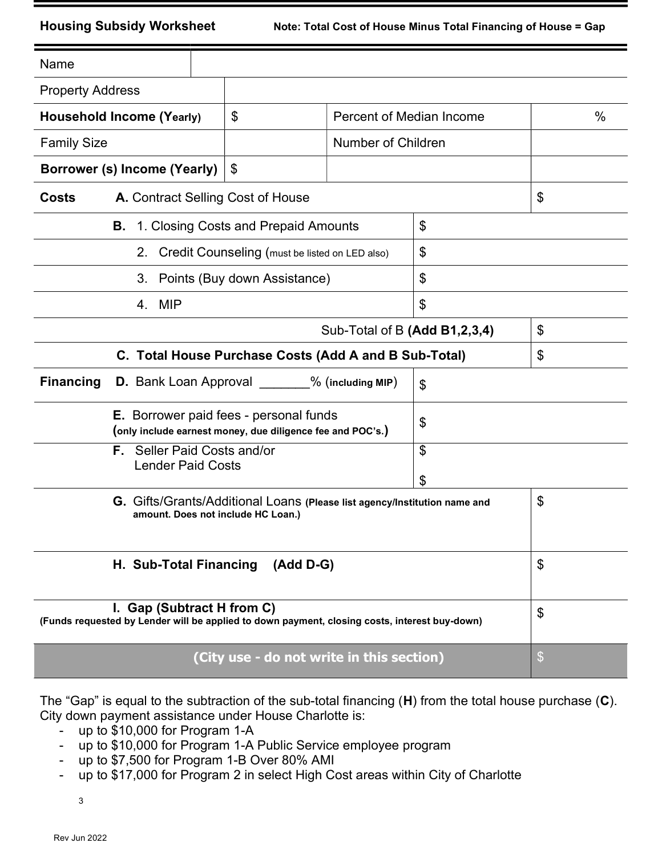**Housing Subsidy Worksheet** 

| Name                                                                                                                        |                                      |                                                   |                |                           |
|-----------------------------------------------------------------------------------------------------------------------------|--------------------------------------|---------------------------------------------------|----------------|---------------------------|
| <b>Property Address</b>                                                                                                     |                                      |                                                   |                |                           |
| <b>Household Income (Yearly)</b>                                                                                            | \$                                   | <b>Percent of Median Income</b>                   |                | $\frac{0}{0}$             |
| <b>Family Size</b>                                                                                                          |                                      | <b>Number of Children</b>                         |                |                           |
| Borrower (s) Income (Yearly)                                                                                                | \$                                   |                                                   |                |                           |
| \$<br>A. Contract Selling Cost of House<br><b>Costs</b>                                                                     |                                      |                                                   |                |                           |
| В.                                                                                                                          | 1. Closing Costs and Prepaid Amounts |                                                   | \$             |                           |
|                                                                                                                             |                                      | 2. Credit Counseling (must be listed on LED also) | \$             |                           |
| 3.                                                                                                                          | Points (Buy down Assistance)         |                                                   | \$             |                           |
| 4. MIP                                                                                                                      |                                      |                                                   | \$             |                           |
|                                                                                                                             | Sub-Total of B (Add B1,2,3,4)        | \$                                                |                |                           |
| C. Total House Purchase Costs (Add A and B Sub-Total)                                                                       |                                      | \$                                                |                |                           |
| <b>Financing</b>                                                                                                            |                                      | D. Bank Loan Approval ______% (including MIP)     | $\mathfrak{S}$ |                           |
| <b>E.</b> Borrower paid fees - personal funds<br>\$<br>(only include earnest money, due diligence fee and POC's.)           |                                      |                                                   |                |                           |
| <b>Lender Paid Costs</b>                                                                                                    | <b>F.</b> Seller Paid Costs and/or   |                                                   | \$             |                           |
|                                                                                                                             |                                      |                                                   | \$             |                           |
| G. Gifts/Grants/Additional Loans (Please list agency/Institution name and<br>amount. Does not include HC Loan.)             |                                      |                                                   |                | \$                        |
| H. Sub-Total Financing (Add D-G)                                                                                            |                                      | \$                                                |                |                           |
| I. Gap (Subtract H from C)<br>(Funds requested by Lender will be applied to down payment, closing costs, interest buy-down) | \$                                   |                                                   |                |                           |
|                                                                                                                             |                                      | (City use - do not write in this section)         |                | $\boldsymbol{\mathsf{S}}$ |

The "Gap" is equal to the subtraction of the sub-total financing (H) from the total house purchase (C). City down payment assistance under House Charlotte is:

- up to \$10,000 for Program 1-A
- up to \$10,000 for Program 1-A Public Service employee program
- up to \$7,500 for Program 1-B Over 80% AMI
- up to \$17,000 for Program 2 in select High Cost areas within City of Charlotte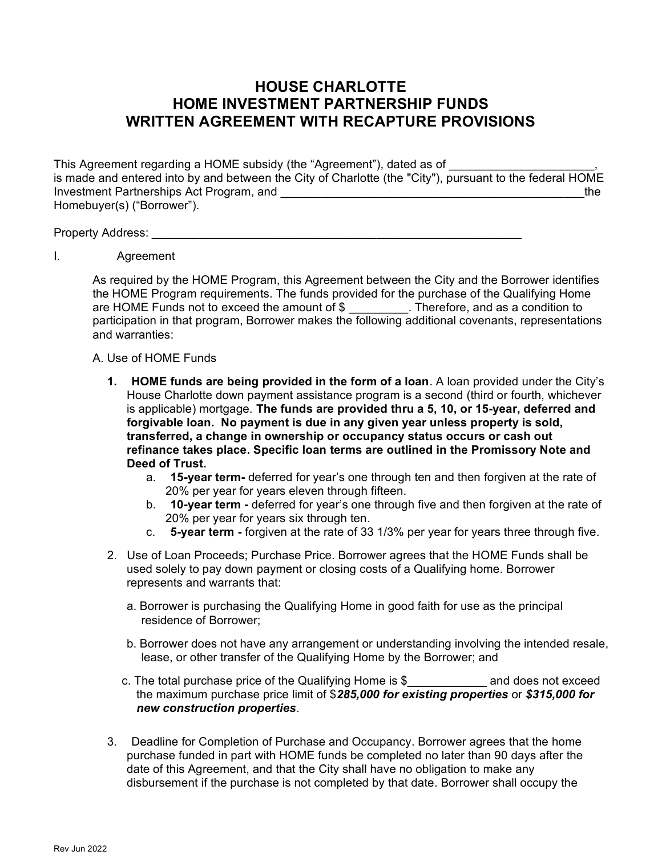## HOUSE CHARLOTTE HOME INVESTMENT PARTNERSHIP FUNDS WRITTEN AGREEMENT WITH RECAPTURE PROVISIONS

This Agreement regarding a HOME subsidy (the "Agreement"), dated as of is made and entered into by and between the City of Charlotte (the "City"), pursuant to the federal HOME Investment Partnerships Act Program, and **Exercise 2018** and the state of the state of the state of the state of the state of the state of the state of the state of the state of the state of the state of the state of the s Homebuyer(s) ("Borrower").

Property Address: **Example 20** Figure 20 Figure 20 Figure 20 Figure 20 Figure 20 Figure 20 Figure 20 Figure 20 Figure 20 Figure 20 Figure 20 Figure 20 Figure 20 Figure 20 Figure 20 Figure 20 Figure 20 Figure 20 Figure 20 F

I. Agreement

As required by the HOME Program, this Agreement between the City and the Borrower identifies the HOME Program requirements. The funds provided for the purchase of the Qualifying Home are HOME Funds not to exceed the amount of \$ \_\_\_\_\_\_\_\_\_. Therefore, and as a condition to participation in that program, Borrower makes the following additional covenants, representations and warranties:

## A. Use of HOME Funds

- 1. HOME funds are being provided in the form of a loan. A loan provided under the City's House Charlotte down payment assistance program is a second (third or fourth, whichever is applicable) mortgage. The funds are provided thru a 5, 10, or 15-year, deferred and forgivable loan. No payment is due in any given year unless property is sold, transferred, a change in ownership or occupancy status occurs or cash out refinance takes place. Specific loan terms are outlined in the Promissory Note and Deed of Trust.
	- a. **15-year term-** deferred for year's one through ten and then forgiven at the rate of 20% per year for years eleven through fifteen.
	- b. **10-year term** deferred for year's one through five and then forgiven at the rate of 20% per year for years six through ten.
	- c. 5-year term forgiven at the rate of 33 1/3% per year for years three through five.
- 2. Use of Loan Proceeds; Purchase Price. Borrower agrees that the HOME Funds shall be used solely to pay down payment or closing costs of a Qualifying home. Borrower represents and warrants that:
	- a. Borrower is purchasing the Qualifying Home in good faith for use as the principal residence of Borrower;
	- b. Borrower does not have any arrangement or understanding involving the intended resale, lease, or other transfer of the Qualifying Home by the Borrower; and
	- c. The total purchase price of the Qualifying Home is \$\_\_\_\_\_\_\_\_\_\_\_\_ and does not exceed the maximum purchase price limit of \$285,000 for existing properties or \$315,000 for new construction properties.
- 3. Deadline for Completion of Purchase and Occupancy. Borrower agrees that the home purchase funded in part with HOME funds be completed no later than 90 days after the date of this Agreement, and that the City shall have no obligation to make any disbursement if the purchase is not completed by that date. Borrower shall occupy the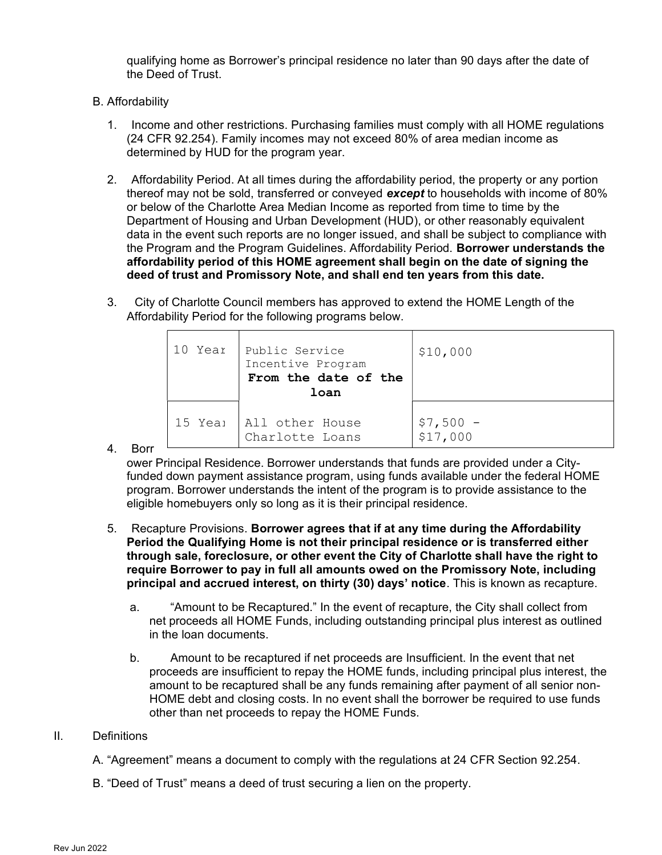qualifying home as Borrower's principal residence no later than 90 days after the date of the Deed of Trust.

- B. Affordability
	- 1. Income and other restrictions. Purchasing families must comply with all HOME regulations (24 CFR 92.254). Family incomes may not exceed 80% of area median income as determined by HUD for the program year.
	- 2. Affordability Period. At all times during the affordability period, the property or any portion thereof may not be sold, transferred or conveyed **except** to households with income of 80% or below of the Charlotte Area Median Income as reported from time to time by the Department of Housing and Urban Development (HUD), or other reasonably equivalent data in the event such reports are no longer issued, and shall be subject to compliance with the Program and the Program Guidelines. Affordability Period. Borrower understands the affordability period of this HOME agreement shall begin on the date of signing the deed of trust and Promissory Note, and shall end ten years from this date.
	- 3. City of Charlotte Council members has approved to extend the HOME Length of the Affordability Period for the following programs below.

| 10 Year | Public Service<br>Incentive Program<br>From the date of the<br>loan | \$10,000                                           |
|---------|---------------------------------------------------------------------|----------------------------------------------------|
| 15 Yeai | All other House<br>Charlotte Loans                                  | $\begin{array}{r} $7,500 -\\ 1517,000 \end{array}$ |

4. Borr

ower Principal Residence. Borrower understands that funds are provided under a Cityfunded down payment assistance program, using funds available under the federal HOME program. Borrower understands the intent of the program is to provide assistance to the eligible homebuyers only so long as it is their principal residence.

- 5. Recapture Provisions. Borrower agrees that if at any time during the Affordability Period the Qualifying Home is not their principal residence or is transferred either through sale, foreclosure, or other event the City of Charlotte shall have the right to require Borrower to pay in full all amounts owed on the Promissory Note, including principal and accrued interest, on thirty (30) days' notice. This is known as recapture.
	- a. "Amount to be Recaptured." In the event of recapture, the City shall collect from net proceeds all HOME Funds, including outstanding principal plus interest as outlined in the loan documents.
	- b. Amount to be recaptured if net proceeds are Insufficient. In the event that net proceeds are insufficient to repay the HOME funds, including principal plus interest, the amount to be recaptured shall be any funds remaining after payment of all senior non-HOME debt and closing costs. In no event shall the borrower be required to use funds other than net proceeds to repay the HOME Funds.

## II. Definitions

- A. "Agreement" means a document to comply with the regulations at 24 CFR Section 92.254.
- B. "Deed of Trust" means a deed of trust securing a lien on the property.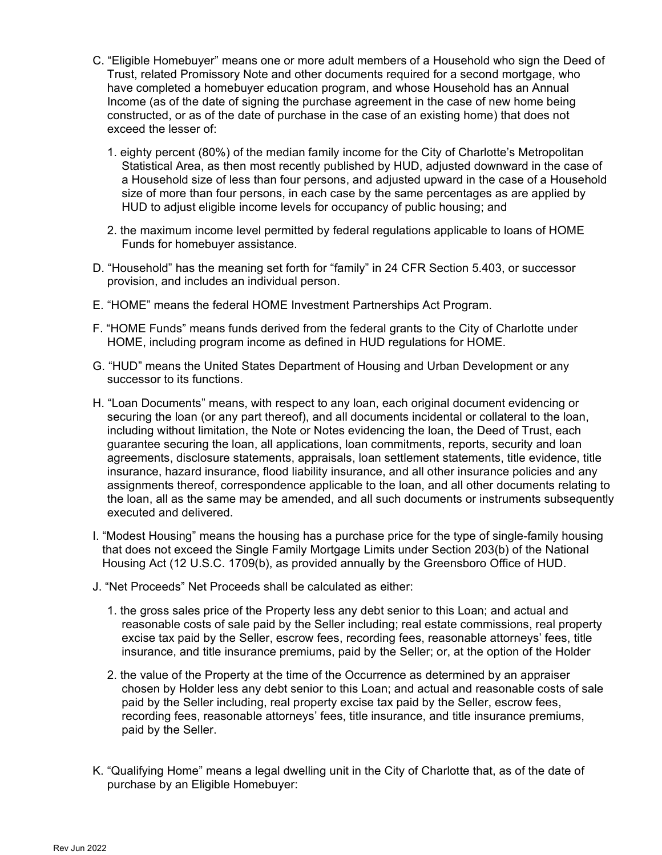- C. "Eligible Homebuyer" means one or more adult members of a Household who sign the Deed of Trust, related Promissory Note and other documents required for a second mortgage, who have completed a homebuyer education program, and whose Household has an Annual Income (as of the date of signing the purchase agreement in the case of new home being constructed, or as of the date of purchase in the case of an existing home) that does not exceed the lesser of:
	- 1. eighty percent (80%) of the median family income for the City of Charlotte's Metropolitan Statistical Area, as then most recently published by HUD, adjusted downward in the case of a Household size of less than four persons, and adjusted upward in the case of a Household size of more than four persons, in each case by the same percentages as are applied by HUD to adjust eligible income levels for occupancy of public housing; and
	- 2. the maximum income level permitted by federal regulations applicable to loans of HOME Funds for homebuyer assistance.
- D. "Household" has the meaning set forth for "family" in 24 CFR Section 5.403, or successor provision, and includes an individual person.
- E. "HOME" means the federal HOME Investment Partnerships Act Program.
- F. "HOME Funds" means funds derived from the federal grants to the City of Charlotte under HOME, including program income as defined in HUD regulations for HOME.
- G. "HUD" means the United States Department of Housing and Urban Development or any successor to its functions.
- H. "Loan Documents" means, with respect to any loan, each original document evidencing or securing the loan (or any part thereof), and all documents incidental or collateral to the loan, including without limitation, the Note or Notes evidencing the loan, the Deed of Trust, each guarantee securing the loan, all applications, loan commitments, reports, security and loan agreements, disclosure statements, appraisals, loan settlement statements, title evidence, title insurance, hazard insurance, flood liability insurance, and all other insurance policies and any assignments thereof, correspondence applicable to the loan, and all other documents relating to the loan, all as the same may be amended, and all such documents or instruments subsequently executed and delivered.
- I. "Modest Housing" means the housing has a purchase price for the type of single-family housing that does not exceed the Single Family Mortgage Limits under Section 203(b) of the National Housing Act (12 U.S.C. 1709(b), as provided annually by the Greensboro Office of HUD.
- J. "Net Proceeds" Net Proceeds shall be calculated as either:
	- 1. the gross sales price of the Property less any debt senior to this Loan; and actual and reasonable costs of sale paid by the Seller including; real estate commissions, real property excise tax paid by the Seller, escrow fees, recording fees, reasonable attorneys' fees, title insurance, and title insurance premiums, paid by the Seller; or, at the option of the Holder
	- 2. the value of the Property at the time of the Occurrence as determined by an appraiser chosen by Holder less any debt senior to this Loan; and actual and reasonable costs of sale paid by the Seller including, real property excise tax paid by the Seller, escrow fees, recording fees, reasonable attorneys' fees, title insurance, and title insurance premiums, paid by the Seller.
- K. "Qualifying Home" means a legal dwelling unit in the City of Charlotte that, as of the date of purchase by an Eligible Homebuyer: